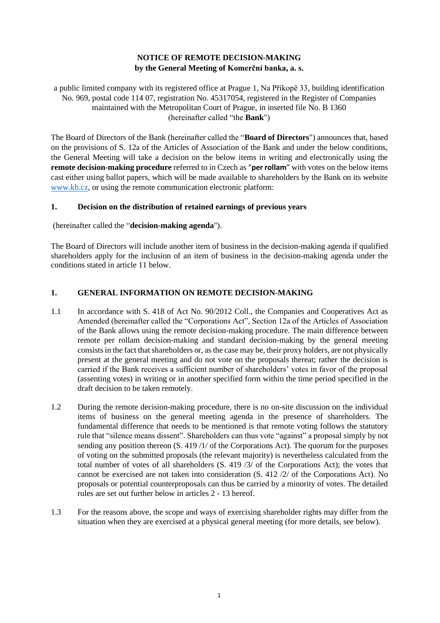# **NOTICE OF REMOTE DECISION-MAKING by the General Meeting of Komerční banka, a. s.**

a public limited company with its registered office at Prague 1, Na Příkopě 33, building identification No. 969, postal code 114 07, registration No. 45317054, registered in the Register of Companies maintained with the Metropolitan Court of Prague, in inserted file No. B 1360 (hereinafter called "the **Bank**")

The Board of Directors of the Bank (hereinafter called the "**Board of Directors**") announces that, based on the provisions of S. 12a of the Articles of Association of the Bank and under the below conditions, the General Meeting will take a decision on the below items in writing and electronically using the **remote decision-making procedure** referred to in Czech as "**per rollam**" with votes on the below items cast either using ballot papers, which will be made available to shareholders by the Bank on its website [www.kb.cz,](http://www.kb.cz/) or using the remote communication electronic platform:

## **1. Decision on the distribution of retained earnings of previous years**

(hereinafter called the "**decision-making agenda**").

The Board of Directors will include another item of business in the decision-making agenda if qualified shareholders apply for the inclusion of an item of business in the decision-making agenda under the conditions stated in article 11 below.

## **1. GENERAL INFORMATION ON REMOTE DECISION-MAKING**

- 1.1 In accordance with S. 418 of Act No. 90/2012 Coll., the Companies and Cooperatives Act as Amended (hereinafter called the "Corporations Act", Section 12a of the Articles of Association of the Bank allows using the remote decision-making procedure. The main difference between remote per rollam decision-making and standard decision-making by the general meeting consists in the fact that shareholders or, as the case may be, their proxy holders, are not physically present at the general meeting and do not vote on the proposals thereat; rather the decision is carried if the Bank receives a sufficient number of shareholders' votes in favor of the proposal (assenting votes) in writing or in another specified form within the time period specified in the draft decision to be taken remotely.
- 1.2 During the remote decision-making procedure, there is no on-site discussion on the individual items of business on the general meeting agenda in the presence of shareholders. The fundamental difference that needs to be mentioned is that remote voting follows the statutory rule that "silence means dissent". Shareholders can thus vote "against" a proposal simply by not sending any position thereon (S. 419 /1/ of the Corporations Act). The quorum for the purposes of voting on the submitted proposals (the relevant majority) is nevertheless calculated from the total number of votes of all shareholders (S. 419 /3/ of the Corporations Act); the votes that cannot be exercised are not taken into consideration (S. 412 /2/ of the Corporations Act). No proposals or potential counterproposals can thus be carried by a minority of votes. The detailed rules are set out further below in articles 2 - 13 hereof.
- 1.3 For the reasons above, the scope and ways of exercising shareholder rights may differ from the situation when they are exercised at a physical general meeting (for more details, see below).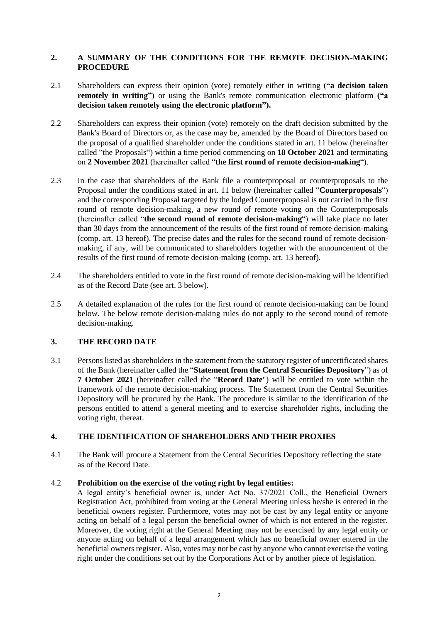## **2. A SUMMARY OF THE CONDITIONS FOR THE REMOTE DECISION-MAKING PROCEDURE**

- 2.1 Shareholders can express their opinion (vote) remotely either in writing **("a decision taken remotely in writing")** or using the Bank's remote communication electronic platform **("a decision taken remotely using the electronic platform").**
- 2.2 Shareholders can express their opinion (vote) remotely on the draft decision submitted by the Bank's Board of Directors or, as the case may be, amended by the Board of Directors based on the proposal of a qualified shareholder under the conditions stated in art. 11 below (hereinafter called "the Proposals") within a time period commencing on **18 October 2021** and terminating on **2 November 2021** (hereinafter called "**the first round of remote decision-making**").
- 2.3 In the case that shareholders of the Bank file a counterproposal or counterproposals to the Proposal under the conditions stated in art. 11 below (hereinafter called "**Counterproposals**") and the corresponding Proposal targeted by the lodged Counterproposal is not carried in the first round of remote decision-making, a new round of remote voting on the Counterproposals (hereinafter called "**the second round of remote decision-making**") will take place no later than 30 days from the announcement of the results of the first round of remote decision-making (comp. art. 13 hereof). The precise dates and the rules for the second round of remote decisionmaking, if any, will be communicated to shareholders together with the announcement of the results of the first round of remote decision-making (comp. art. 13 hereof).
- 2.4 The shareholders entitled to vote in the first round of remote decision-making will be identified as of the Record Date (see art. 3 below).
- 2.5 A detailed explanation of the rules for the first round of remote decision-making can be found below. The below remote decision-making rules do not apply to the second round of remote decision-making.

# **3. THE RECORD DATE**

3.1 Persons listed as shareholders in the statement from the statutory register of uncertificated shares of the Bank (hereinafter called the "**Statement from the Central Securities Depository**") as of **7 October 2021** (hereinafter called the "**Record Date**") will be entitled to vote within the framework of the remote decision-making process. The Statement from the Central Securities Depository will be procured by the Bank. The procedure is similar to the identification of the persons entitled to attend a general meeting and to exercise shareholder rights, including the voting right, thereat.

# **4. THE IDENTIFICATION OF SHAREHOLDERS AND THEIR PROXIES**

4.1 The Bank will procure a Statement from the Central Securities Depository reflecting the state as of the Record Date.

## 4.2 **Prohibition on the exercise of the voting right by legal entities:**

A legal entity's beneficial owner is, under Act No. 37/2021 Coll., the Beneficial Owners Registration Act, prohibited from voting at the General Meeting unless he/she is entered in the beneficial owners register. Furthermore, votes may not be cast by any legal entity or anyone acting on behalf of a legal person the beneficial owner of which is not entered in the register. Moreover, the voting right at the General Meeting may not be exercised by any legal entity or anyone acting on behalf of a legal arrangement which has no beneficial owner entered in the beneficial owners register. Also, votes may not be cast by anyone who cannot exercise the voting right under the conditions set out by the Corporations Act or by another piece of legislation.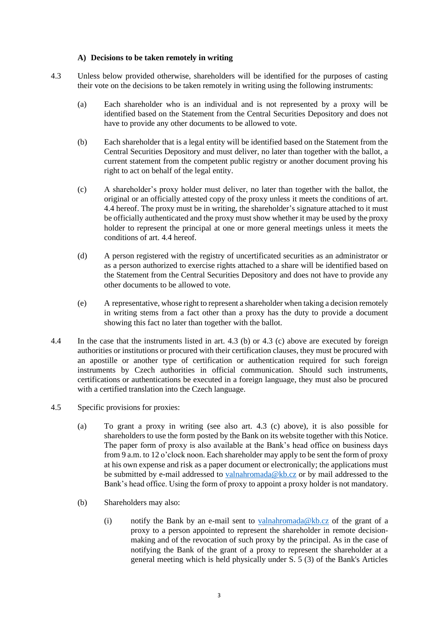#### **A) Decisions to be taken remotely in writing**

- 4.3 Unless below provided otherwise, shareholders will be identified for the purposes of casting their vote on the decisions to be taken remotely in writing using the following instruments:
	- (a) Each shareholder who is an individual and is not represented by a proxy will be identified based on the Statement from the Central Securities Depository and does not have to provide any other documents to be allowed to vote.
	- (b) Each shareholder that is a legal entity will be identified based on the Statement from the Central Securities Depository and must deliver, no later than together with the ballot, a current statement from the competent public registry or another document proving his right to act on behalf of the legal entity.
	- (c) A shareholder's proxy holder must deliver, no later than together with the ballot, the original or an officially attested copy of the proxy unless it meets the conditions of art. 4.4 hereof. The proxy must be in writing, the shareholder's signature attached to it must be officially authenticated and the proxy must show whether it may be used by the proxy holder to represent the principal at one or more general meetings unless it meets the conditions of art. 4.4 hereof.
	- (d) A person registered with the registry of uncertificated securities as an administrator or as a person authorized to exercise rights attached to a share will be identified based on the Statement from the Central Securities Depository and does not have to provide any other documents to be allowed to vote.
	- (e) A representative, whose right to represent a shareholder when taking a decision remotely in writing stems from a fact other than a proxy has the duty to provide a document showing this fact no later than together with the ballot.
- 4.4 In the case that the instruments listed in art. 4.3 (b) or 4.3 (c) above are executed by foreign authorities or institutions or procured with their certification clauses, they must be procured with an apostille or another type of certification or authentication required for such foreign instruments by Czech authorities in official communication. Should such instruments, certifications or authentications be executed in a foreign language, they must also be procured with a certified translation into the Czech language.
- 4.5 Specific provisions for proxies:
	- (a) To grant a proxy in writing (see also art. 4.3 (c) above), it is also possible for shareholders to use the form posted by the Bank on its website together with this Notice. The paper form of proxy is also available at the Bank's head office on business days from 9 a.m. to 12 o'clock noon. Each shareholder may apply to be sent the form of proxy at his own expense and risk as a paper document or electronically; the applications must be submitted by e-mail addressed to [valnahromada@kb.cz](mailto:valnahromada@kb.cz) or by mail addressed to the Bank's head office. Using the form of proxy to appoint a proxy holder is not mandatory.
	- (b) Shareholders may also:
		- (i) notify the Bank by an e-mail sent to valuant homoda@kb.cz of the grant of a proxy to a person appointed to represent the shareholder in remote decisionmaking and of the revocation of such proxy by the principal. As in the case of notifying the Bank of the grant of a proxy to represent the shareholder at a general meeting which is held physically under S. 5 (3) of the Bank's Articles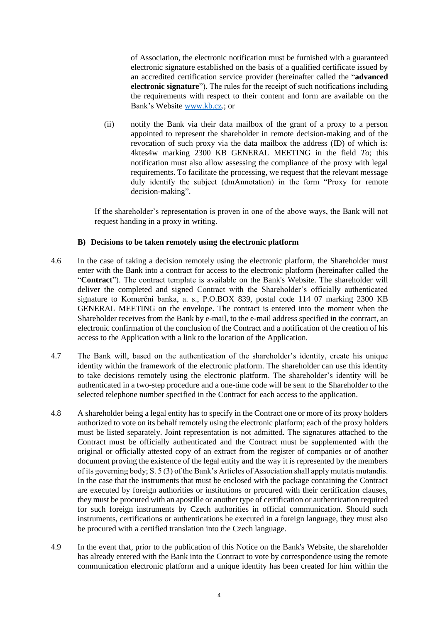of Association, the electronic notification must be furnished with a guaranteed electronic signature established on the basis of a qualified certificate issued by an accredited certification service provider (hereinafter called the "**advanced electronic signature**"). The rules for the receipt of such notifications including the requirements with respect to their content and form are available on the Bank's Website [www.kb.cz.](http://www.kb.cz/); or

(ii) notify the Bank via their data mailbox of the grant of a proxy to a person appointed to represent the shareholder in remote decision-making and of the revocation of such proxy via the data mailbox the address (ID) of which is: 4ktes4w marking 2300 KB GENERAL MEETING in the field *To*; this notification must also allow assessing the compliance of the proxy with legal requirements. To facilitate the processing, we request that the relevant message duly identify the subject (dmAnnotation) in the form "Proxy for remote decision-making".

If the shareholder's representation is proven in one of the above ways, the Bank will not request handing in a proxy in writing.

#### **B) Decisions to be taken remotely using the electronic platform**

- 4.6 In the case of taking a decision remotely using the electronic platform, the Shareholder must enter with the Bank into a contract for access to the electronic platform (hereinafter called the "**Contract**"). The contract template is available on the Bank's Website. The shareholder will deliver the completed and signed Contract with the Shareholder's officially authenticated signature to Komerční banka, a. s., P.O.BOX 839, postal code 114 07 marking 2300 KB GENERAL MEETING on the envelope. The contract is entered into the moment when the Shareholder receives from the Bank by e-mail, to the e-mail address specified in the contract, an electronic confirmation of the conclusion of the Contract and a notification of the creation of his access to the Application with a link to the location of the Application.
- 4.7 The Bank will, based on the authentication of the shareholder's identity, create his unique identity within the framework of the electronic platform. The shareholder can use this identity to take decisions remotely using the electronic platform. The shareholder's identity will be authenticated in a two-step procedure and a one-time code will be sent to the Shareholder to the selected telephone number specified in the Contract for each access to the application.
- 4.8 A shareholder being a legal entity has to specify in the Contract one or more of its proxy holders authorized to vote on its behalf remotely using the electronic platform; each of the proxy holders must be listed separately. Joint representation is not admitted. The signatures attached to the Contract must be officially authenticated and the Contract must be supplemented with the original or officially attested copy of an extract from the register of companies or of another document proving the existence of the legal entity and the way it is represented by the members of its governing body; S. 5 (3) of the Bank's Articles of Association shall apply mutatis mutandis. In the case that the instruments that must be enclosed with the package containing the Contract are executed by foreign authorities or institutions or procured with their certification clauses, they must be procured with an apostille or another type of certification or authentication required for such foreign instruments by Czech authorities in official communication. Should such instruments, certifications or authentications be executed in a foreign language, they must also be procured with a certified translation into the Czech language.
- 4.9 In the event that, prior to the publication of this Notice on the Bank's Website, the shareholder has already entered with the Bank into the Contract to vote by correspondence using the remote communication electronic platform and a unique identity has been created for him within the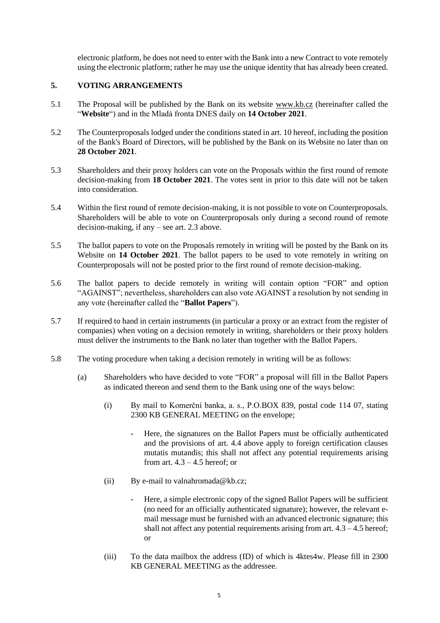electronic platform, he does not need to enter with the Bank into a new Contract to vote remotely using the electronic platform; rather he may use the unique identity that has already been created.

# **5. VOTING ARRANGEMENTS**

- 5.1 The Proposal will be published by the Bank on its website [www.kb.cz](http://www.kb.cz/) (hereinafter called the "**Website**") and in the Mladá fronta DNES daily on **14 October 2021**.
- 5.2 The Counterproposals lodged under the conditions stated in art. 10 hereof, including the position of the Bank's Board of Directors, will be published by the Bank on its Website no later than on **28 October 2021**.
- 5.3 Shareholders and their proxy holders can vote on the Proposals within the first round of remote decision-making from **18 October 2021**. The votes sent in prior to this date will not be taken into consideration.
- 5.4 Within the first round of remote decision-making, it is not possible to vote on Counterproposals. Shareholders will be able to vote on Counterproposals only during a second round of remote decision-making, if any – see art. 2.3 above.
- 5.5 The ballot papers to vote on the Proposals remotely in writing will be posted by the Bank on its Website on **14 October 2021**. The ballot papers to be used to vote remotely in writing on Counterproposals will not be posted prior to the first round of remote decision-making.
- 5.6 The ballot papers to decide remotely in writing will contain option "FOR" and option "AGAINST"; nevertheless, shareholders can also vote AGAINST a resolution by not sending in any vote (hereinafter called the "**Ballot Papers**").
- 5.7 If required to hand in certain instruments (in particular a proxy or an extract from the register of companies) when voting on a decision remotely in writing, shareholders or their proxy holders must deliver the instruments to the Bank no later than together with the Ballot Papers.
- 5.8 The voting procedure when taking a decision remotely in writing will be as follows:
	- (a) Shareholders who have decided to vote "FOR" a proposal will fill in the Ballot Papers as indicated thereon and send them to the Bank using one of the ways below:
		- (i) By mail to Komerční banka, a. s., P.O.BOX 839, postal code 114 07, stating 2300 KB GENERAL MEETING on the envelope;
			- Here, the signatures on the Ballot Papers must be officially authenticated and the provisions of art. 4.4 above apply to foreign certification clauses mutatis mutandis; this shall not affect any potential requirements arising from art.  $4.3 - 4.5$  hereof; or
		- (ii) By e-mail to [valnahromada@kb.cz;](mailto:valnahromada@kb.cz)
			- Here, a simple electronic copy of the signed Ballot Papers will be sufficient (no need for an officially authenticated signature); however, the relevant email message must be furnished with an advanced electronic signature; this shall not affect any potential requirements arising from art.  $4.3 - 4.5$  hereof; or
		- (iii) To the data mailbox the address (ID) of which is 4ktes4w. Please fill in 2300 KB GENERAL MEETING as the addressee.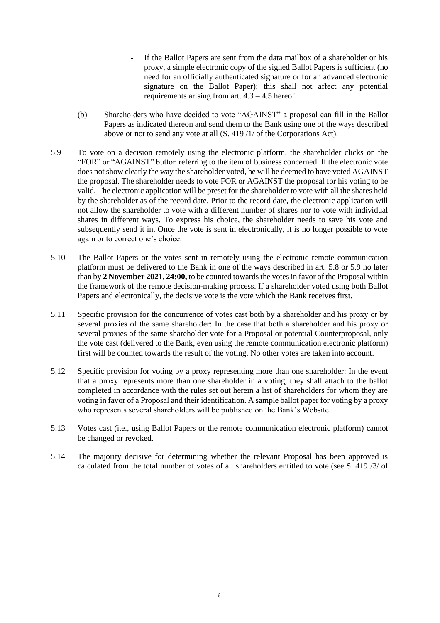- If the Ballot Papers are sent from the data mailbox of a shareholder or his proxy, a simple electronic copy of the signed Ballot Papers is sufficient (no need for an officially authenticated signature or for an advanced electronic signature on the Ballot Paper); this shall not affect any potential requirements arising from art.  $4.3 - 4.5$  hereof.
- (b) Shareholders who have decided to vote "AGAINST" a proposal can fill in the Ballot Papers as indicated thereon and send them to the Bank using one of the ways described above or not to send any vote at all (S. 419 /1/ of the Corporations Act).
- 5.9 To vote on a decision remotely using the electronic platform, the shareholder clicks on the "FOR" or "AGAINST" button referring to the item of business concerned. If the electronic vote does not show clearly the way the shareholder voted, he will be deemed to have voted AGAINST the proposal. The shareholder needs to vote FOR or AGAINST the proposal for his voting to be valid. The electronic application will be preset for the shareholder to vote with all the shares held by the shareholder as of the record date. Prior to the record date, the electronic application will not allow the shareholder to vote with a different number of shares nor to vote with individual shares in different ways. To express his choice, the shareholder needs to save his vote and subsequently send it in. Once the vote is sent in electronically, it is no longer possible to vote again or to correct one's choice.
- 5.10 The Ballot Papers or the votes sent in remotely using the electronic remote communication platform must be delivered to the Bank in one of the ways described in art. 5.8 or 5.9 no later than by **2 November 2021, 24:00,** to be counted towards the votes in favor of the Proposal within the framework of the remote decision-making process. If a shareholder voted using both Ballot Papers and electronically, the decisive vote is the vote which the Bank receives first.
- 5.11 Specific provision for the concurrence of votes cast both by a shareholder and his proxy or by several proxies of the same shareholder: In the case that both a shareholder and his proxy or several proxies of the same shareholder vote for a Proposal or potential Counterproposal, only the vote cast (delivered to the Bank, even using the remote communication electronic platform) first will be counted towards the result of the voting. No other votes are taken into account.
- 5.12 Specific provision for voting by a proxy representing more than one shareholder: In the event that a proxy represents more than one shareholder in a voting, they shall attach to the ballot completed in accordance with the rules set out herein a list of shareholders for whom they are voting in favor of a Proposal and their identification. A sample ballot paper for voting by a proxy who represents several shareholders will be published on the Bank's Website.
- 5.13 Votes cast (i.e., using Ballot Papers or the remote communication electronic platform) cannot be changed or revoked.
- 5.14 The majority decisive for determining whether the relevant Proposal has been approved is calculated from the total number of votes of all shareholders entitled to vote (see S. 419 /3/ of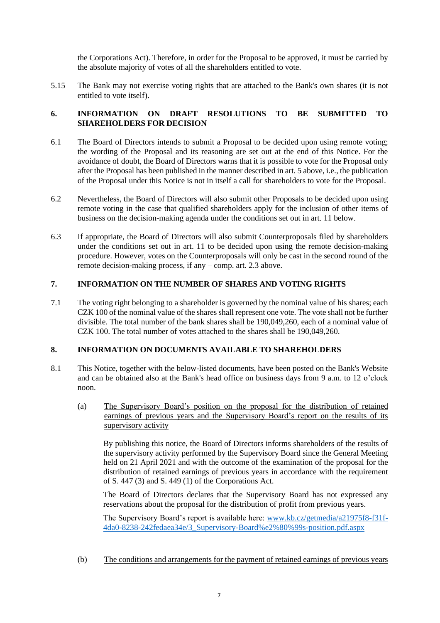the Corporations Act). Therefore, in order for the Proposal to be approved, it must be carried by the absolute majority of votes of all the shareholders entitled to vote.

5.15 The Bank may not exercise voting rights that are attached to the Bank's own shares (it is not entitled to vote itself).

# **6. INFORMATION ON DRAFT RESOLUTIONS TO BE SUBMITTED TO SHAREHOLDERS FOR DECISION**

- 6.1 The Board of Directors intends to submit a Proposal to be decided upon using remote voting; the wording of the Proposal and its reasoning are set out at the end of this Notice. For the avoidance of doubt, the Board of Directors warns that it is possible to vote for the Proposal only after the Proposal has been published in the manner described in art. 5 above, i.e., the publication of the Proposal under this Notice is not in itself a call for shareholders to vote for the Proposal.
- 6.2 Nevertheless, the Board of Directors will also submit other Proposals to be decided upon using remote voting in the case that qualified shareholders apply for the inclusion of other items of business on the decision-making agenda under the conditions set out in art. 11 below.
- 6.3 If appropriate, the Board of Directors will also submit Counterproposals filed by shareholders under the conditions set out in art. 11 to be decided upon using the remote decision-making procedure. However, votes on the Counterproposals will only be cast in the second round of the remote decision-making process, if any – comp. art. 2.3 above.

# **7. INFORMATION ON THE NUMBER OF SHARES AND VOTING RIGHTS**

7.1 The voting right belonging to a shareholder is governed by the nominal value of his shares; each CZK 100 of the nominal value of the shares shall represent one vote. The vote shall not be further divisible. The total number of the bank shares shall be 190,049,260, each of a nominal value of CZK 100. The total number of votes attached to the shares shall be 190,049,260.

#### **8. INFORMATION ON DOCUMENTS AVAILABLE TO SHAREHOLDERS**

- 8.1 This Notice, together with the below-listed documents, have been posted on the Bank's Website and can be obtained also at the Bank's head office on business days from 9 a.m. to 12 o'clock noon.
	- (a) The Supervisory Board's position on the proposal for the distribution of retained earnings of previous years and the Supervisory Board's report on the results of its supervisory activity

By publishing this notice, the Board of Directors informs shareholders of the results of the supervisory activity performed by the Supervisory Board since the General Meeting held on 21 April 2021 and with the outcome of the examination of the proposal for the distribution of retained earnings of previous years in accordance with the requirement of S. 447 (3) and S. 449 (1) of the Corporations Act.

The Board of Directors declares that the Supervisory Board has not expressed any reservations about the proposal for the distribution of profit from previous years.

The Supervisory Board's report is available here: [www.kb.cz/getmedia/a21975f8-f31f-](www.kb.cz/getmedia/a21975f8-f31f-4da0-8238-242fedaea34e/3_Supervisory-Board%e2%80%99s-position.pdf.aspx)[4da0-8238-242fedaea34e/3\\_Supervisory-Board%e2%80%99s-position.pdf.aspx](www.kb.cz/getmedia/a21975f8-f31f-4da0-8238-242fedaea34e/3_Supervisory-Board%e2%80%99s-position.pdf.aspx)

(b) The conditions and arrangements for the payment of retained earnings of previous years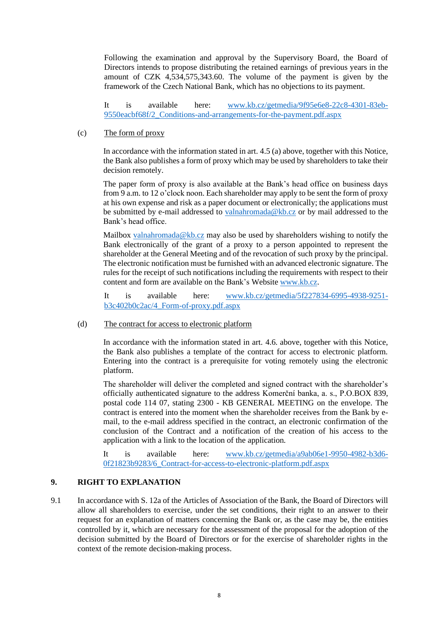Following the examination and approval by the Supervisory Board, the Board of Directors intends to propose distributing the retained earnings of previous years in the amount of CZK 4,534,575,343.60. The volume of the payment is given by the framework of the Czech National Bank, which has no objections to its payment.

It is available here: www.kb.cz/getmedia/9f95e6e8-22c8-4301-83eb-9550eacbf68f/2\_Conditions-and-arrangements-for-the-payment.pdf.aspx

### (c) The form of proxy

In accordance with the information stated in art. 4.5 (a) above, together with this Notice, the Bank also publishes a form of proxy which may be used by shareholders to take their decision remotely.

The paper form of proxy is also available at the Bank's head office on business days from 9 a.m. to 12 o'clock noon. Each shareholder may apply to be sent the form of proxy at his own expense and risk as a paper document or electronically; the applications must be submitted by e-mail addressed to [valnahromada@kb.cz](mailto:valnahromada@kb.cz) or by mail addressed to the Bank's head office.

Mailbox [valnahromada@kb.cz](mailto:valnahromada@kb.cz) may also be used by shareholders wishing to notify the Bank electronically of the grant of a proxy to a person appointed to represent the shareholder at the General Meeting and of the revocation of such proxy by the principal. The electronic notification must be furnished with an advanced electronic signature. The rules for the receipt of such notifications including the requirements with respect to their content and form are available on the Bank's Website [www.kb.cz.](http://www.kb.cz/)

It is available here: www.kb.cz/getmedia/5f227834-6995-4938-9251 b3c402b0c2ac/4\_Form-of-proxy.pdf.aspx

#### (d) The contract for access to electronic platform

In accordance with the information stated in art. 4.6. above, together with this Notice, the Bank also publishes a template of the contract for access to electronic platform. Entering into the contract is a prerequisite for voting remotely using the electronic platform.

The shareholder will deliver the completed and signed contract with the shareholder's officially authenticated signature to the address Komerční banka, a. s., P.O.BOX 839, postal code 114 07, stating 2300 - KB GENERAL MEETING on the envelope. The contract is entered into the moment when the shareholder receives from the Bank by email, to the e-mail address specified in the contract, an electronic confirmation of the conclusion of the Contract and a notification of the creation of his access to the application with a link to the location of the application.

It is available here: www.kb.cz/getmedia/a9ab06e1-9950-4982-b3d6- 0f21823b9283/6\_Contract-for-access-to-electronic-platform.pdf.aspx

# **9. RIGHT TO EXPLANATION**

9.1 In accordance with S. 12a of the Articles of Association of the Bank, the Board of Directors will allow all shareholders to exercise, under the set conditions, their right to an answer to their request for an explanation of matters concerning the Bank or, as the case may be, the entities controlled by it, which are necessary for the assessment of the proposal for the adoption of the decision submitted by the Board of Directors or for the exercise of shareholder rights in the context of the remote decision-making process.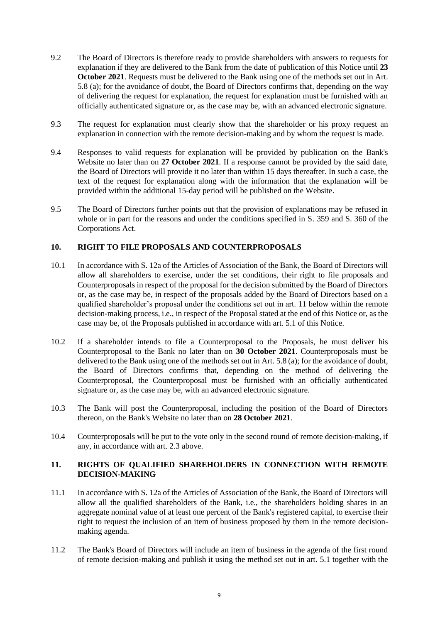- 9.2 The Board of Directors is therefore ready to provide shareholders with answers to requests for explanation if they are delivered to the Bank from the date of publication of this Notice until **23 October 2021**. Requests must be delivered to the Bank using one of the methods set out in Art. 5.8 (a); for the avoidance of doubt, the Board of Directors confirms that, depending on the way of delivering the request for explanation, the request for explanation must be furnished with an officially authenticated signature or, as the case may be, with an advanced electronic signature.
- 9.3 The request for explanation must clearly show that the shareholder or his proxy request an explanation in connection with the remote decision-making and by whom the request is made.
- 9.4 Responses to valid requests for explanation will be provided by publication on the Bank's Website no later than on **27 October 2021**. If a response cannot be provided by the said date, the Board of Directors will provide it no later than within 15 days thereafter. In such a case, the text of the request for explanation along with the information that the explanation will be provided within the additional 15-day period will be published on the Website.
- 9.5 The Board of Directors further points out that the provision of explanations may be refused in whole or in part for the reasons and under the conditions specified in S. 359 and S. 360 of the Corporations Act.

# **10. RIGHT TO FILE PROPOSALS AND COUNTERPROPOSALS**

- 10.1 In accordance with S. 12a of the Articles of Association of the Bank, the Board of Directors will allow all shareholders to exercise, under the set conditions, their right to file proposals and Counterproposals in respect of the proposal for the decision submitted by the Board of Directors or, as the case may be, in respect of the proposals added by the Board of Directors based on a qualified shareholder's proposal under the conditions set out in art. 11 below within the remote decision-making process, i.e., in respect of the Proposal stated at the end of this Notice or, as the case may be, of the Proposals published in accordance with art. 5.1 of this Notice.
- 10.2 If a shareholder intends to file a Counterproposal to the Proposals, he must deliver his Counterproposal to the Bank no later than on **30 October 2021**. Counterproposals must be delivered to the Bank using one of the methods set out in Art. 5.8 (a); for the avoidance of doubt, the Board of Directors confirms that, depending on the method of delivering the Counterproposal, the Counterproposal must be furnished with an officially authenticated signature or, as the case may be, with an advanced electronic signature.
- 10.3 The Bank will post the Counterproposal, including the position of the Board of Directors thereon, on the Bank's Website no later than on **28 October 2021**.
- 10.4 Counterproposals will be put to the vote only in the second round of remote decision-making, if any, in accordance with art. 2.3 above.

## **11. RIGHTS OF QUALIFIED SHAREHOLDERS IN CONNECTION WITH REMOTE DECISION-MAKING**

- 11.1 In accordance with S. 12a of the Articles of Association of the Bank, the Board of Directors will allow all the qualified shareholders of the Bank, i.e., the shareholders holding shares in an aggregate nominal value of at least one percent of the Bank's registered capital, to exercise their right to request the inclusion of an item of business proposed by them in the remote decisionmaking agenda.
- 11.2 The Bank's Board of Directors will include an item of business in the agenda of the first round of remote decision-making and publish it using the method set out in art. 5.1 together with the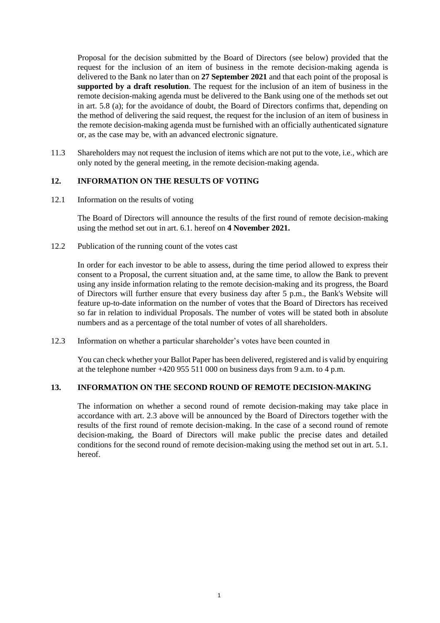Proposal for the decision submitted by the Board of Directors (see below) provided that the request for the inclusion of an item of business in the remote decision-making agenda is delivered to the Bank no later than on **27 September 2021** and that each point of the proposal is **supported by a draft resolution**. The request for the inclusion of an item of business in the remote decision-making agenda must be delivered to the Bank using one of the methods set out in art. 5.8 (a); for the avoidance of doubt, the Board of Directors confirms that, depending on the method of delivering the said request, the request for the inclusion of an item of business in the remote decision-making agenda must be furnished with an officially authenticated signature or, as the case may be, with an advanced electronic signature.

11.3 Shareholders may not request the inclusion of items which are not put to the vote, i.e., which are only noted by the general meeting, in the remote decision-making agenda.

#### **12. INFORMATION ON THE RESULTS OF VOTING**

12.1 Information on the results of voting

The Board of Directors will announce the results of the first round of remote decision-making using the method set out in art. 6.1. hereof on **4 November 2021.**

12.2 Publication of the running count of the votes cast

In order for each investor to be able to assess, during the time period allowed to express their consent to a Proposal, the current situation and, at the same time, to allow the Bank to prevent using any inside information relating to the remote decision-making and its progress, the Board of Directors will further ensure that every business day after 5 p.m., the Bank's Website will feature up-to-date information on the number of votes that the Board of Directors has received so far in relation to individual Proposals. The number of votes will be stated both in absolute numbers and as a percentage of the total number of votes of all shareholders.

12.3 Information on whether a particular shareholder's votes have been counted in

You can check whether your Ballot Paper has been delivered, registered and is valid by enquiring at the telephone number  $+420,955,511,000$  on business days from 9 a.m. to 4 p.m.

#### **13. INFORMATION ON THE SECOND ROUND OF REMOTE DECISION-MAKING**

The information on whether a second round of remote decision-making may take place in accordance with art. 2.3 above will be announced by the Board of Directors together with the results of the first round of remote decision-making. In the case of a second round of remote decision-making, the Board of Directors will make public the precise dates and detailed conditions for the second round of remote decision-making using the method set out in art. 5.1. hereof.